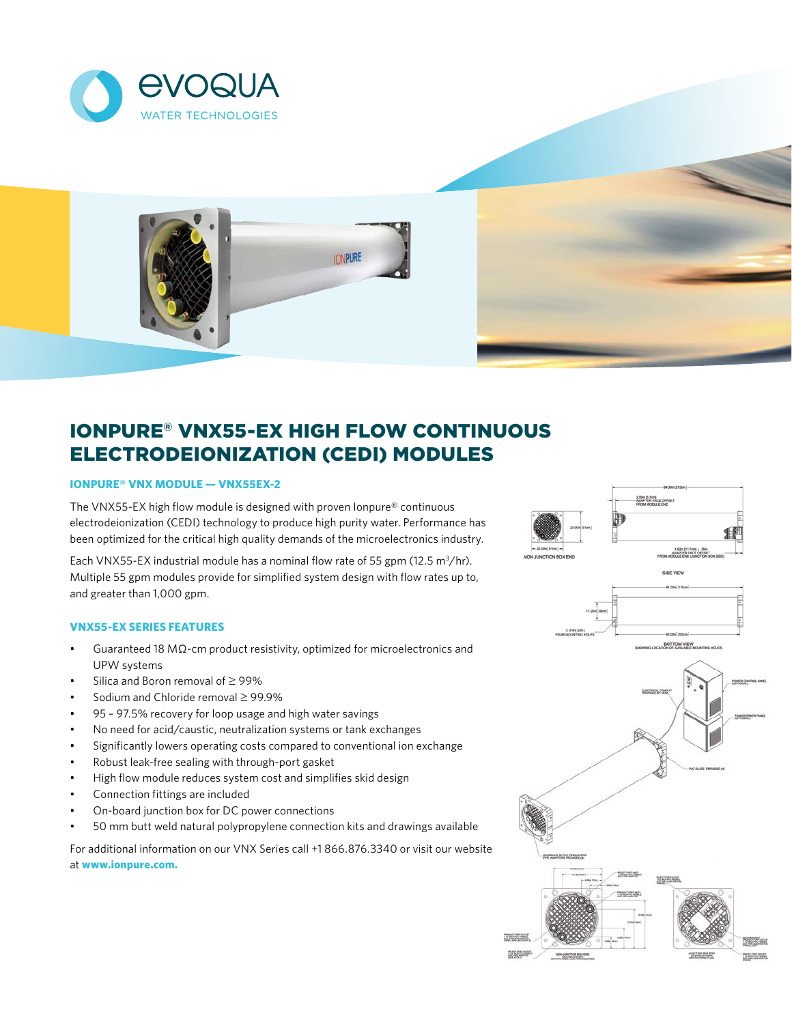



# IONPURE® VNX55-EX HIGH FLOW CONTINUOUS ELECTRODEIONIZATION (CEDI) MODULES

## **IONPURE® VNX MODULE — VNX55EX-2**

The VNX55-EX high flow module is designed with proven Ionpure® continuous electrodeionization (CEDI) technology to produce high purity water. Performance has been optimized for the critical high quality demands of the microelectronics industry.

Each VNX55-EX industrial module has a nominal flow rate of 55 gpm (12.5  $m^3$ /hr). Multiple 55 gpm modules provide for simplified system design with flow rates up to, and greater than 1,000 gpm.

## **VNX55-EX SERIES FEATURES**

- Guaranteed 18 MΩ-cm product resistivity, optimized for microelectronics and UPW systems
- Silica and Boron removal of ≥ 99%
- Sodium and Chloride removal ≥ 99.9%
- 95 97.5% recovery for loop usage and high water savings
- No need for acid/caustic, neutralization systems or tank exchanges
- Significantly lowers operating costs compared to conventional ion exchange
- Robust leak-free sealing with through-port gasket
- High flow module reduces system cost and simplifies skid design
- Connection fittings are included
- On-board junction box for DC power connections
- 50 mm butt weld natural polypropylene connection kits and drawings available

For additional information on our VNX Series call +1 866.876.3340 or visit our website at **www.ionpure.com.**